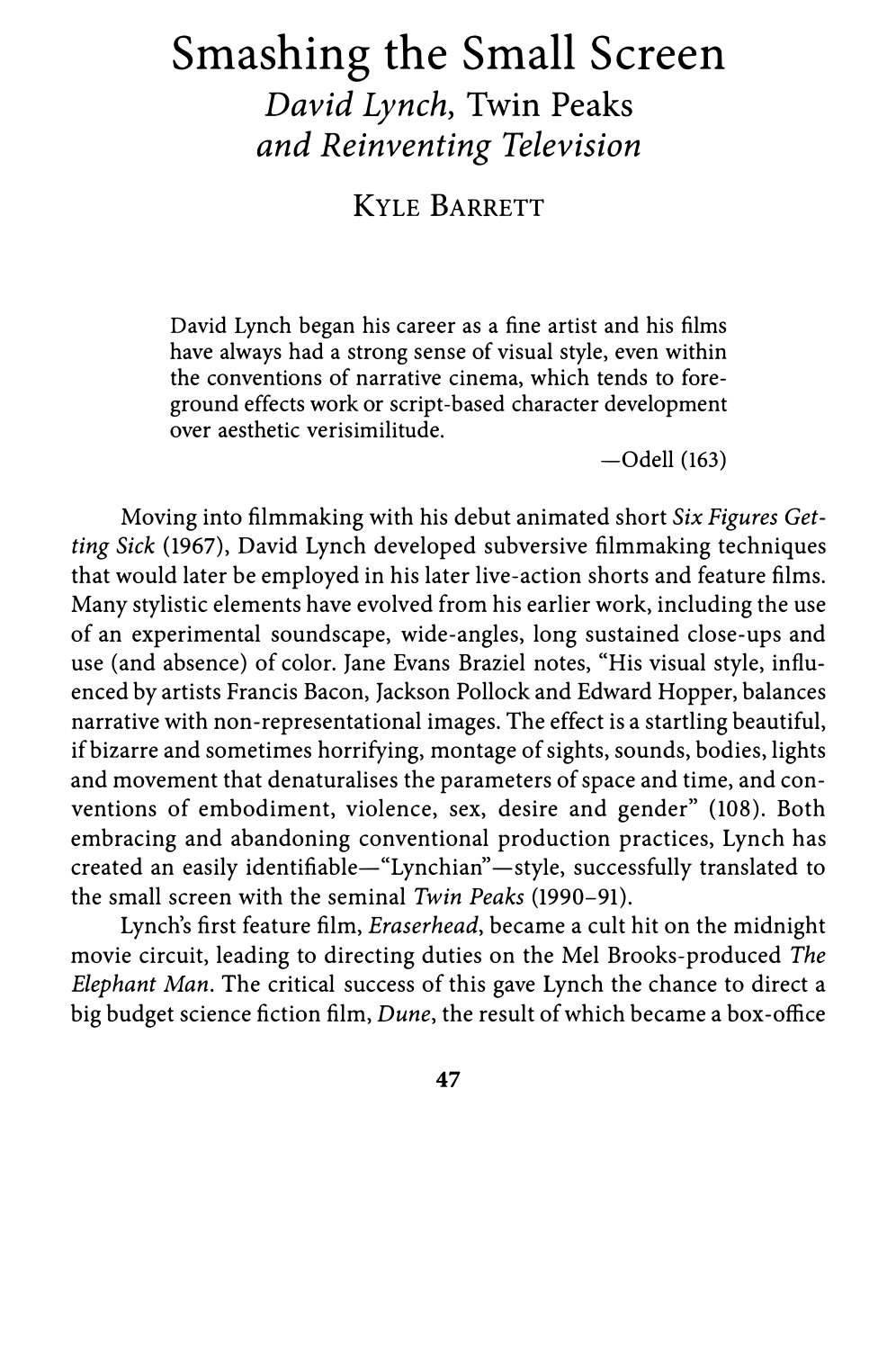# **Smashing the Small Screen**

*David Lynch,* Twin Peaks *and Reinventing Television* 

KYLE BARRETT

David Lynch began his career as a fine artist and his films have always had a strong sense of visual style, even within the conventions of narrative cinema, which tends to foreground effects work or script-based character development over aesthetic verisimilitude.

 $-$ Odell (163)

Moving into filmmaking with his debut animated short *Six Figures Getting Sick* {1967), David Lynch developed subversive filmmaking techniques that would later be employed in his later live-action shorts and feature films. Many stylistic elements have evolved from his earlier work, including the use of an experimental soundscape, wide-angles, long sustained close-ups and use (and absence) of color. Jane Evans Braziel notes, "His visual style, influenced by artists Francis Bacon, Jackson Pollock and Edward Hopper, balances narrative with non-representational images. The effect is a startling beautiful, if bizarre and sometimes horrifying, montage of sights, sounds, bodies, lights and movement that denaturalises the parameters of space and time, and conventions of embodiment, violence, sex, desire and gender" {108). Both embracing and abandoning conventional production practices, Lynch has created an easily identifiable-"Lynchian"-style, successfully translated to the small screen with the seminal *Twin Peaks* (1990-91).

Lynch's first feature film, *Eraserhead,* became a cult hit on the midnight movie circuit, leading to directing duties on the Mel Brooks-produced *The Elephant Man.* The critical success of this gave Lynch the chance to direct a big budget science fiction film, *Dune,* the result of which became a box-office

**47**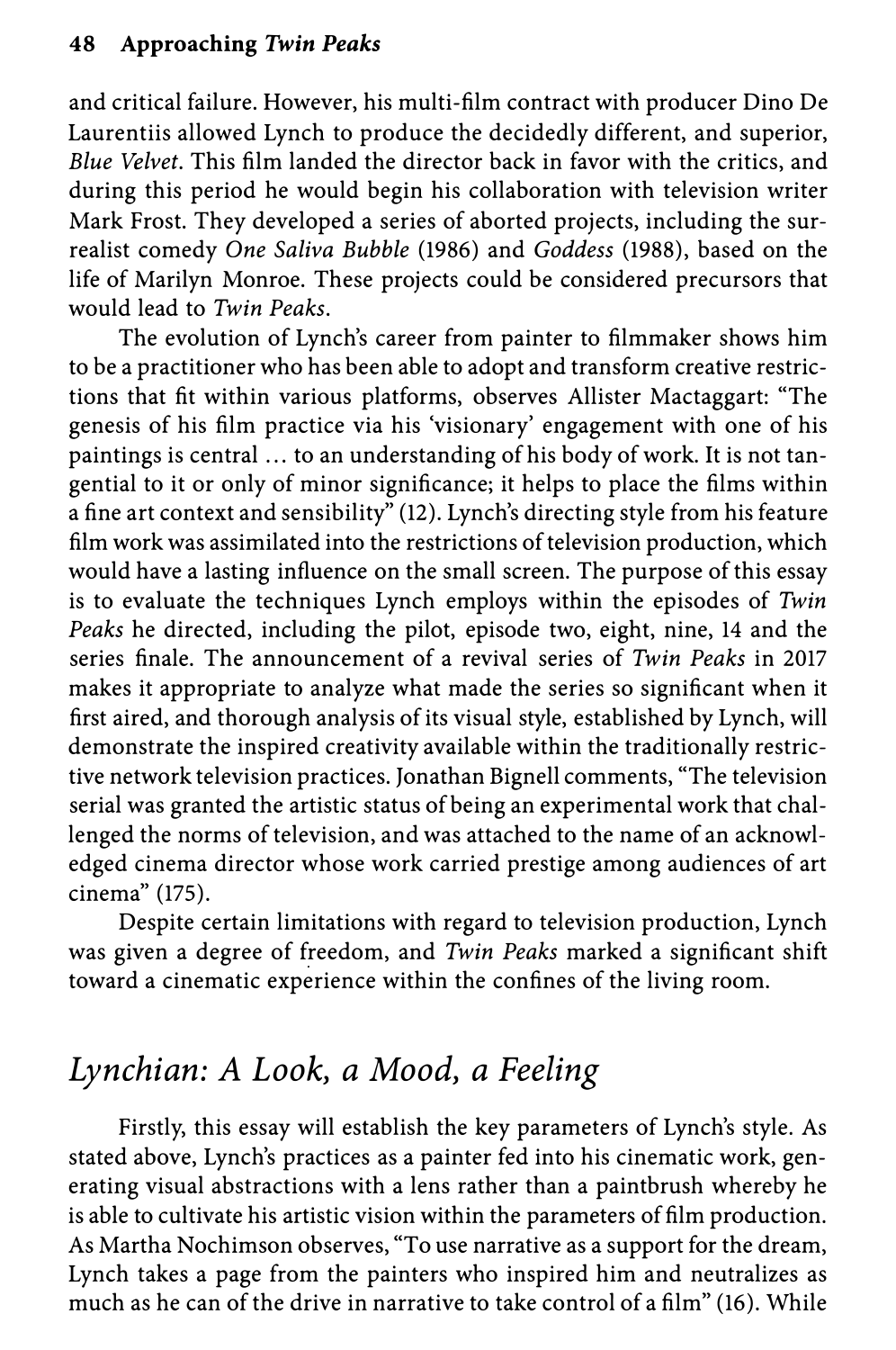and critical failure. However, his multi-film contract with producer Dino De Laurentiis allowed Lynch to produce the decidedly different, and superior, *Blue Velvet.* This film landed the director back in favor with the critics, and during this period he would begin his collaboration with television writer Mark Frost. They developed a series of aborted projects, including the surrealist comedy *One Saliva Bubble* (1986) and *Goddess* (1988), based on the life of Marilyn Monroe. These projects could be considered precursors that would lead to *Twin Peaks.* 

The evolution of Lynch's career from painter to filmmaker shows him to be a practitioner who has been able to adopt and transform creative restrictions that fit within various platforms, observes Allister Mactaggart: "The genesis of his film practice via his 'visionary' engagement with one of his paintings is central ... to an understanding of his body of work. It is not tangential to it or only of minor significance; it helps to place the films within a fine art context and sensibility" (12). Lynch's directing style from his feature film work was assimilated into the restrictions of television production, which would have a lasting influence on the small screen. The purpose of this essay is to evaluate the techniques Lynch employs within the episodes of *Twin Peaks* he directed, including the pilot, episode two, eight, nine, 14 and the series finale. The announcement of a revival series of *Twin Peaks* in 2017 makes it appropriate to analyze what made the series so significant when it first aired, and thorough analysis of its visual style, established by Lynch, will demonstrate the inspired creativity available within the traditionally restrictive network television practices. Jonathan Bignell comments, "The television serial was granted the artistic status of being an experimental work that challenged the norms of television, and was attached to the name of an acknowledged cinema director whose work carried prestige among audiences of art cinema" (175).

Despite certain limitations with regard to television production, Lynch was given a degree of freedom, and *Twin Peaks* marked a significant shift toward a cinematic experience within the confines of the living room.

### *Lynchian: A Look, a Mood, a Feeling*

Firstly, this essay will establish the key parameters of Lynch's style. As stated above, Lynch's practices as a painter fed into his cinematic work, generating visual abstractions with a lens rather than a paintbrush whereby he is able to cultivate his artistic vision within the parameters of film production. As Martha Nochimson observes, "To use narrative as a support for the dream, Lynch takes a page from the painters who inspired him and neutralizes as much as he can of the drive in narrative to take control of a film" (16). While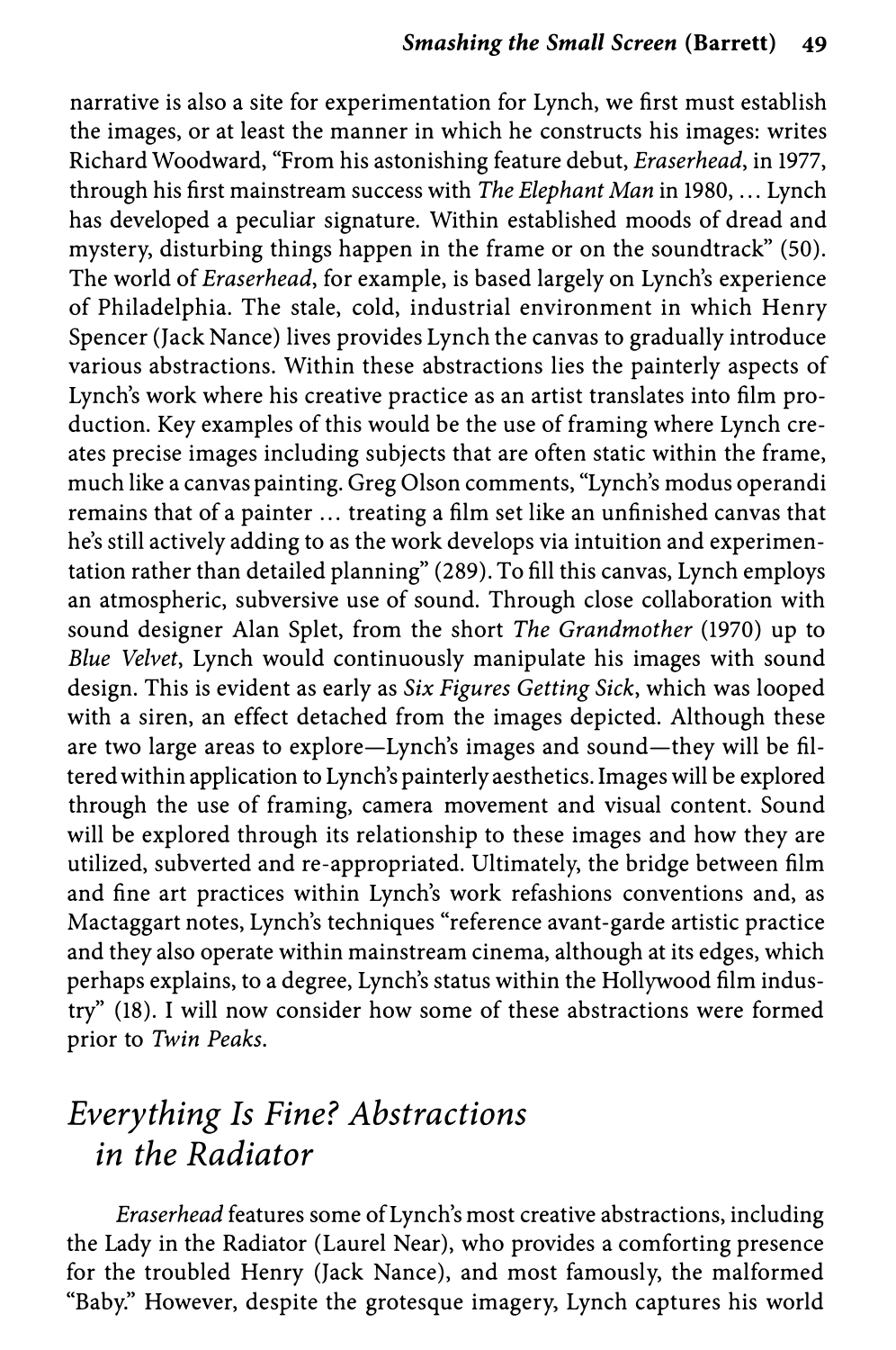narrative is also a site for experimentation for Lynch, we first must establish the images, or at least the manner in which he constructs his images: writes Richard Woodward, "From his astonishing feature debut, *Eraserhead,* in 1977, through his first mainstream success with *The Elephant Man* in 1980, ... Lynch has developed a peculiar signature. Within established moods of dread and mystery, disturbing things happen in the frame or on the soundtrack" (50). The world of *Eraserhead,* for example, is based largely on Lynch's experience of Philadelphia. The stale, cold, industrial environment in which Henry Spencer (Jack Nance) lives provides Lynch the canvas to gradually introduce various abstractions. Within these abstractions lies the painterly aspects of Lynch's work where his creative practice as an artist translates into film production. Key examples of this would be the use of framing where Lynch creates precise images including subjects that are often static within the frame, much like a canvas painting. Greg Olson comments, "Lynch's modus operandi remains that of a painter ... treating a film set like an unfinished canvas that he's still actively adding to as the work develops via intuition and experimentation rather than detailed planning" (289). To fill this canvas, Lynch employs an atmospheric, subversive use of sound. Through close collaboration with sound designer Alan Splet, from the short *The Grandmother* (1970) up to *Blue Velvet,* Lynch would continuously manipulate his images with sound design. This is evident as early as *Six Figures Getting Sick,* which was looped with a siren, an effect detached from the images depicted. Although these are two large areas to explore-Lynch's images and sound-they will be filtered within application to Lynch's painterly aesthetics. Images will be explored through the use of framing, camera movement and visual content. Sound will be explored through its relationship to these images and how they are utilized, subverted and re-appropriated. Ultimately, the bridge between film and fine art practices within Lynch's work refashions conventions and, as Mactaggart notes, Lynch's techniques "reference avant-garde artistic practice and they also operate within mainstream cinema, although at its edges, which perhaps explains, to a degree, Lynch's status within the Hollywood film industry" (18). I will now consider how some of these abstractions were formed prior to *Twin Peaks.* 

### *Everything Is Fine? Abstractions in the Radiator*

*Eraserhead* features some of Lynch's most creative abstractions, including the Lady in the Radiator (Laurel Near), who provides a comforting presence for the troubled Henry (Jack Nance), and most famously, the malformed "Baby." However, despite the grotesque imagery, Lynch captures his world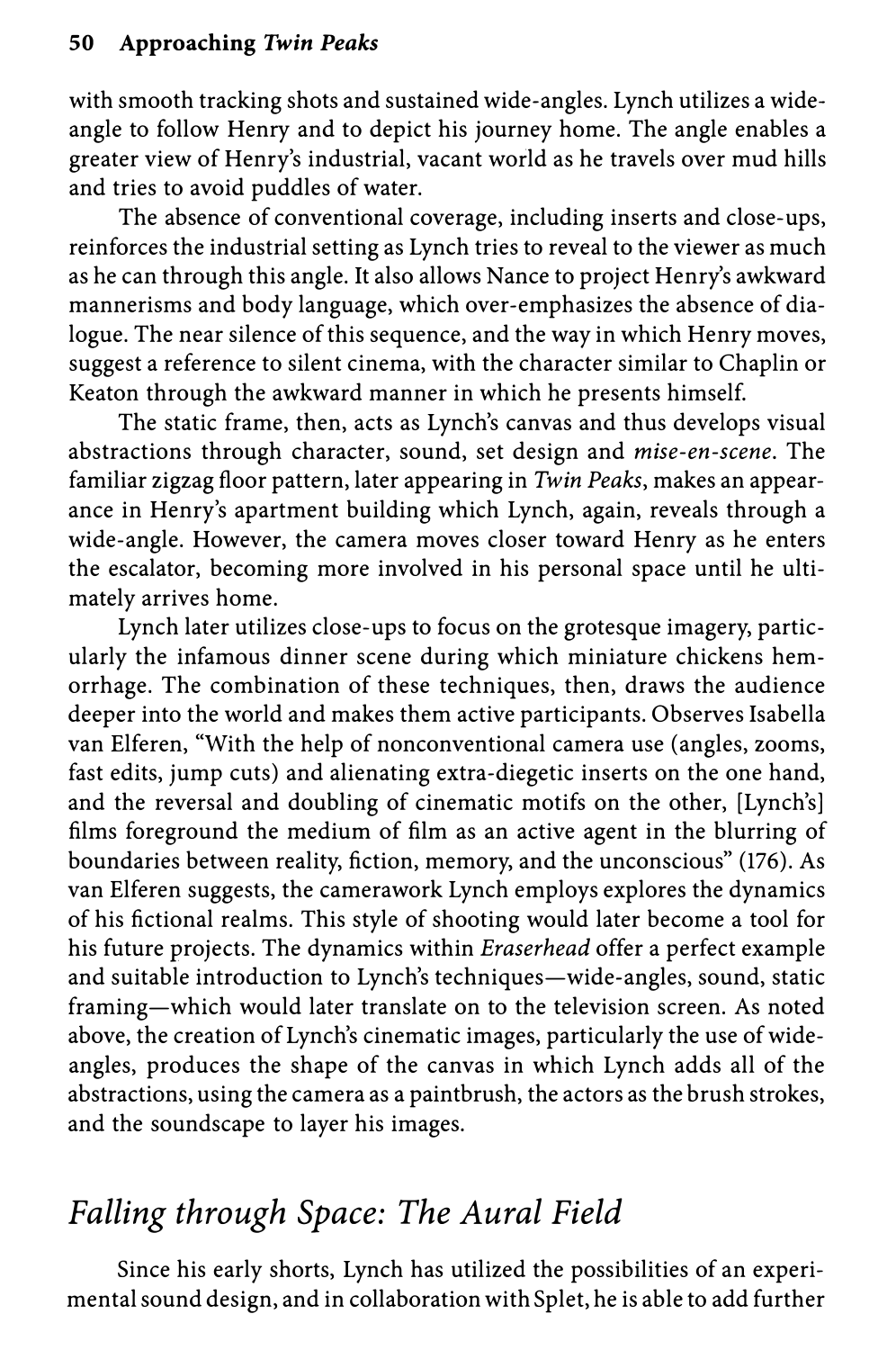with smooth tracking shots and sustained wide-angles. Lynch utilizes a wideangle to follow Henry and to depict his journey home. The angle enables a greater view of Henry's industrial, vacant world as he travels over mud hills and tries to avoid puddles of water.

The absence of conventional coverage, including inserts and close-ups, reinforces the industrial setting as Lynch tries to reveal to the viewer as much as he can through this angle. It also allows Nance to project Henry's awkward mannerisms and body language, which over-emphasizes the absence of dialogue. The near silence of this sequence, and the way in which Henry moves, suggest a reference to silent cinema, with the character similar to Chaplin or Keaton through the awkward manner in which he presents himself.

The static frame, then, acts as Lynch's canvas and thus develops visual abstractions through character, sound, set design and *mise-en-scene.* The familiar zigzag floor pattern, later appearing in *Twin Peaks,* makes an appearance in Henry's apartment building which Lynch, again, reveals through a wide-angle. However, the camera moves closer toward Henry as he enters the escalator, becoming more involved in his personal space until he ultimately arrives home.

Lynch later utilizes close-ups to focus on the grotesque imagery, particularly the infamous dinner scene during which miniature chickens hemorrhage. The combination of these techniques, then, draws the audience deeper into the world and makes them active participants. Observes Isabella van Elferen, "With the help of nonconventional camera use (angles, zooms, fast edits, jump cuts) and alienating extra-diegetic inserts on the one hand, and the reversal and doubling of cinematic motifs on the other, [Lynch's] films foreground the medium of film as an active agent in the blurring of boundaries between reality, fiction, memory, and the unconscious" (176). As van Elferen suggests, the camerawork Lynch employs explores the dynamics of his fictional realms. This style of shooting would later become a tool for his future projects. The dynamics within *Eraserhead* offer a perfect example and suitable introduction to Lynch's techniques-wide-angles, sound, static framing-which would later translate on to the television screen. As noted above, the creation of Lynch's cinematic images, particularly the use of wideangles, produces the shape of the canvas in which Lynch adds all of the abstractions, using the camera as a paintbrush, the actors as the brush strokes, and the soundscape to layer his images.

# *Falling through Space: The Aural Field*

Since his early shorts, Lynch has utilized the possibilities of an experimental sound design, and in collaboration with Splet, he is able to add further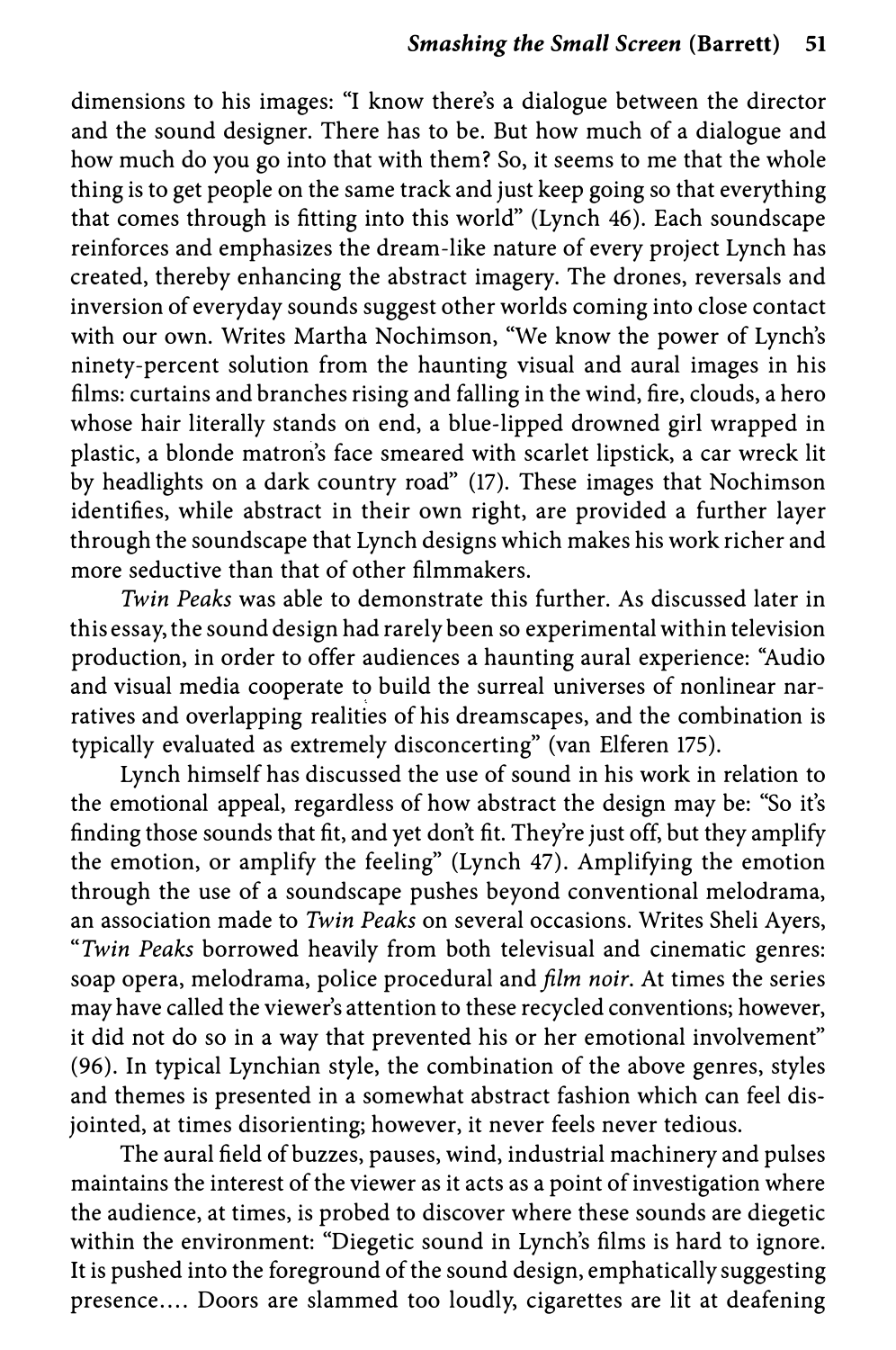dimensions to his images: "I know there's a dialogue between the director and the sound designer. There has to be. But how much of a dialogue and how much do you go into that with them? So, it seems to me that the whole thing is to get people on the same track and just keep going so that everything that comes through is fitting into this world" (Lynch 46). Each soundscape reinforces and emphasizes the dream-like nature of every project Lynch has created, thereby enhancing the abstract imagery. The drones, reversals and inversion of everyday sounds suggest other worlds coming into close contact with our own. Writes Martha Nochimson, "We know the power of Lynch's ninety-percent solution from the haunting visual and aural images in his films: curtains and branches rising and falling in the wind, fire, clouds, a hero whose hair literally stands on end, a blue-lipped drowned girl wrapped in plastic, a blonde matron's face smeared with scarlet lipstick, a car wreck lit by headlights on a dark country road" (17). These images that Nochimson identifies, while abstract in their own right, are provided a further layer through the soundscape that Lynch designs which makes his work richer and more seductive than that of other filmmakers.

*Twin Peaks* was able to demonstrate this further. As discussed later in this essay, the sound design had rarely been so experimental within television production, in order to offer audiences a haunting aural experience: ''Audio and visual media cooperate to build the surreal universes of nonlinear narratives and overlapping realities of his dreamscapes, and the combination is typically evaluated as extremely disconcerting" (van Elferen 175).

Lynch himself has discussed the use of sound in his work in relation to the emotional appeal, regardless of how abstract the design may be: "So it's finding those sounds that fit, and yet don't fit. They're just off, but they amplify the emotion, or amplify the feeling" (Lynch 47). Amplifying the emotion through the use of a soundscape pushes beyond conventional melodrama, an association made to *Twin Peaks* on several occasions. Writes Sheli Ayers, *"Twin Peaks* borrowed heavily from both televisual and cinematic genres: soap opera, melodrama, police procedural and *film noir.* At times the series may have called the viewer's attention to these recycled conventions; however, it did not do so in a way that prevented his or her emotional involvement" (96). In typical Lynchian style, the combination of the above genres, styles and themes is presented in a somewhat abstract fashion which can feel disjointed, at times disorienting; however, it never feels never tedious.

The aural field of buzzes, pauses, wind, industrial machinery and pulses maintains the interest of the viewer as it acts as a point of investigation where the audience, at times, is probed to discover where these sounds are diegetic within the environment: "Diegetic sound in Lynch's films is hard to ignore. It is pushed into the foreground of the sound design, emphatically suggesting presence.... Doors are slammed too loudly, cigarettes are lit at deafening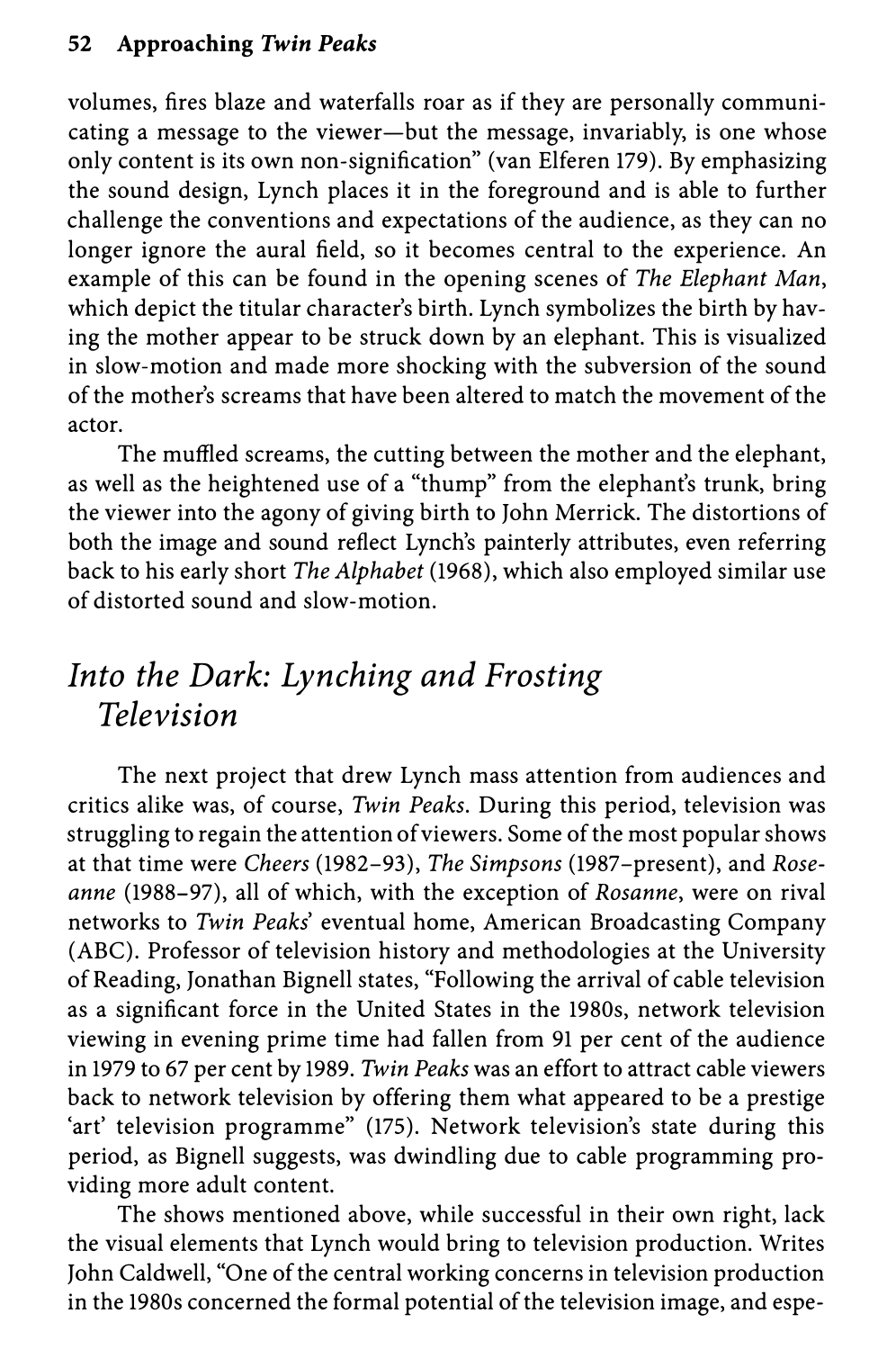volumes, fires blaze and waterfalls roar as if they are personally communicating a message to the viewer-but the message, invariably, is one whose only content is its own non-signification" (van Elferen 179). By emphasizing the sound design, Lynch places it in the foreground and is able to further challenge the conventions and expectations of the audience, as they can no longer ignore the aural field, so it becomes central to the experience. An example of this can be found in the opening scenes of *The Elephant Man,*  which depict the titular character's birth. Lynch symbolizes the birth by having the mother appear to be struck down by an elephant. This is visualized in slow-motion and made more shocking with the subversion of the sound of the mother's screams that have been altered to match the movement of the actor.

The muffled screams, the cutting between the mother and the elephant, as well as the heightened use of a "thump" from the elephant's trunk, bring the viewer into the agony of giving birth to John Merrick. The distortions of both the image and sound reflect Lynch's painterly attributes, even referring back to his early short *The Alphabet* (1968), which also employed similar use of distorted sound and slow-motion.

#### *Into the Dark: Lynching and Frosting Television*

The next project that drew Lynch mass attention from audiences and critics alike was, of course, *Twin Peaks.* During this period, television was struggling to regain the attention of viewers. Some of the most popular shows at that time were *Cheers* (1982-93), *The Simpsons* (1987-present), and *Roseanne* (1988-97), all of which, with the exception of *Rosanne,* were on rival networks to *Twin Peaks'* eventual home, American Broadcasting Company (ABC). Professor of television history and methodologies at the University of Reading, Jonathan Bignell states, "Following the arrival of cable television as a significant force in the United States in the 1980s, network television viewing in evening prime time had fallen from 91 per cent of the audience in 1979 to 67 per cent by 1989. *Twin Peaks* was an effort to attract cable viewers back to network television by offering them what appeared to be a prestige 'art' television programme" (175). Network television's state during this period, as Bignell suggests, was dwindling due to cable programming providing more adult content.

The shows mentioned above, while successful in their own right, lack the visual elements that Lynch would bring to television production. Writes John Caldwell, "One of the central working concerns in television production in the 1980s concerned the formal potential of the television image, and espe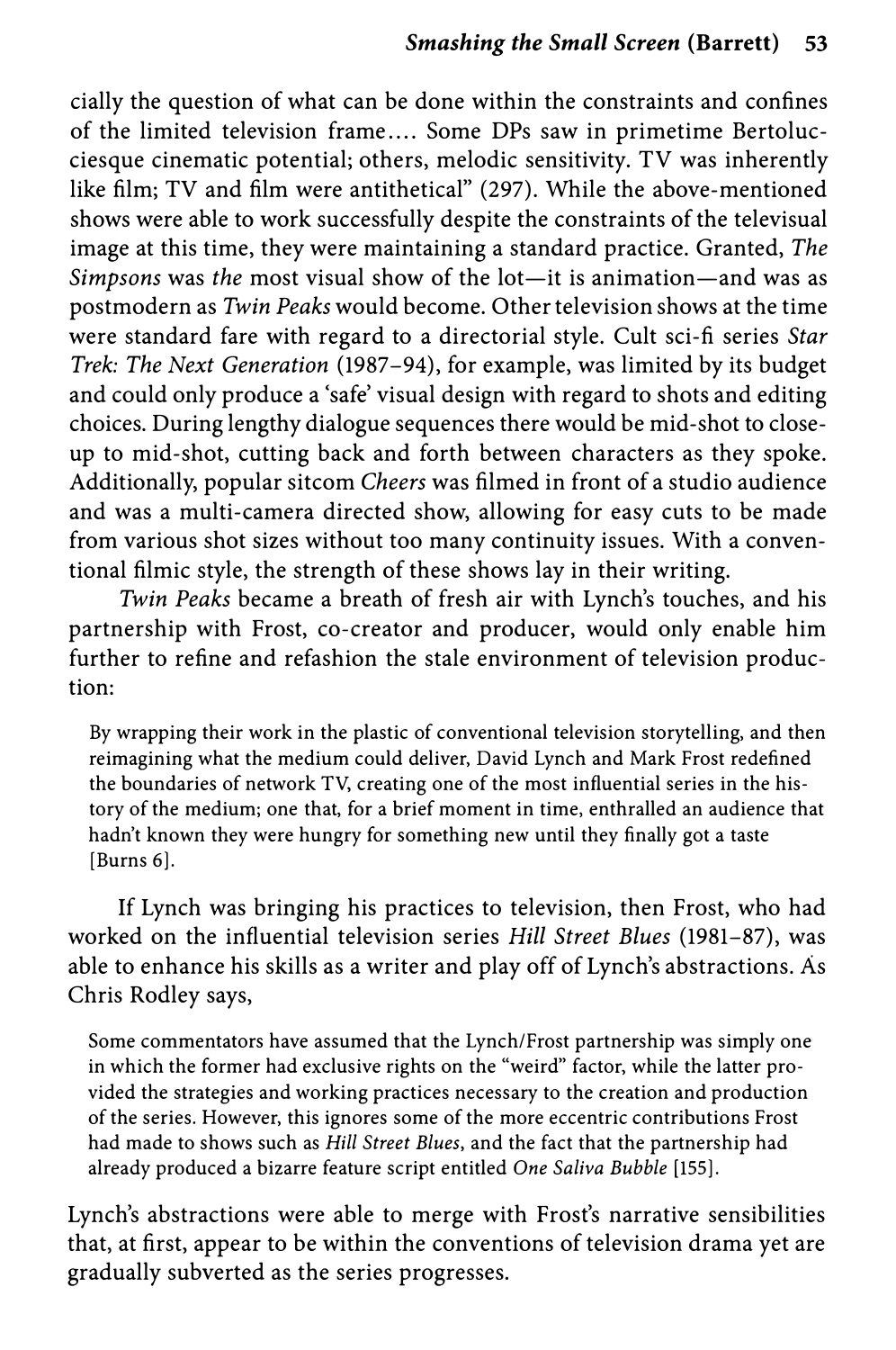cially the question of what can be done within the constraints and confines of the limited television frame.... Some DPs saw in primetime Bertolucciesque cinematic potential; others, melodic sensitivity. TV was inherently like film; TV and film were antithetical" (297). While the above-mentioned shows were able to work successfully despite the constraints of the televisual image at this time, they were maintaining a standard practice. Granted, *The Simpsons* was *the* most visual show of the lot-it is animation-and was as postmodern as *Twin Peaks* would become. Other television shows at the time were standard fare with regard to a directorial style. Cult sci-fi series *Star Trek: The Next Generation* (1987-94), for example, was limited by its budget and could only produce a 'safe' visual design with regard to shots and editing choices. During lengthy dialogue sequences there would be mid-shot to closeup to mid-shot, cutting back and forth between characters as they spoke. Additionally, popular sitcom *Cheers* was filmed in front of a studio audience and was a multi-camera directed show, allowing for easy cuts to be made from various shot sizes without too many continuity issues. With a conventional filmic style, the strength of these shows lay in their writing.

*Twin Peaks* became a breath of fresh air with Lynch's touches, and his partnership with Frost, co-creator and producer, would only enable him further to refine and refashion the stale environment of television production:

By wrapping their work in the plastic of conventional television storytelling, and then reimagining what the medium could deliver, David Lynch and Mark Frost redefined the boundaries of network TV, creating one of the most influential series in the history of the medium; one that, for a brief moment in time, enthralled an audience that hadn't known they were hungry for something new until they finally got a taste [Burns 6].

If Lynch was bringing his practices to television, then Frost, who had worked on the influential television series *Hill Street Blues* (1981-87), was able to enhance his skills as a writer and play off of Lynch's abstractions. As Chris Rodley says,

Some commentators have assumed that the Lynch/Frost partnership was simply one in which the former had exclusive rights on the "weird" factor, while the latter provided the strategies and working practices necessary to the creation and production of the series. However, this ignores some of the more eccentric contributions Frost had made to shows such as *Hill Street Blues,* and the fact that the partnership had already produced a bizarre feature script entitled *One Saliva Bubble* [155].

Lynch's abstractions were able to merge with Frost's narrative sensibilities that, at first, appear to be within the conventions of television drama yet are gradually subverted as the series progresses.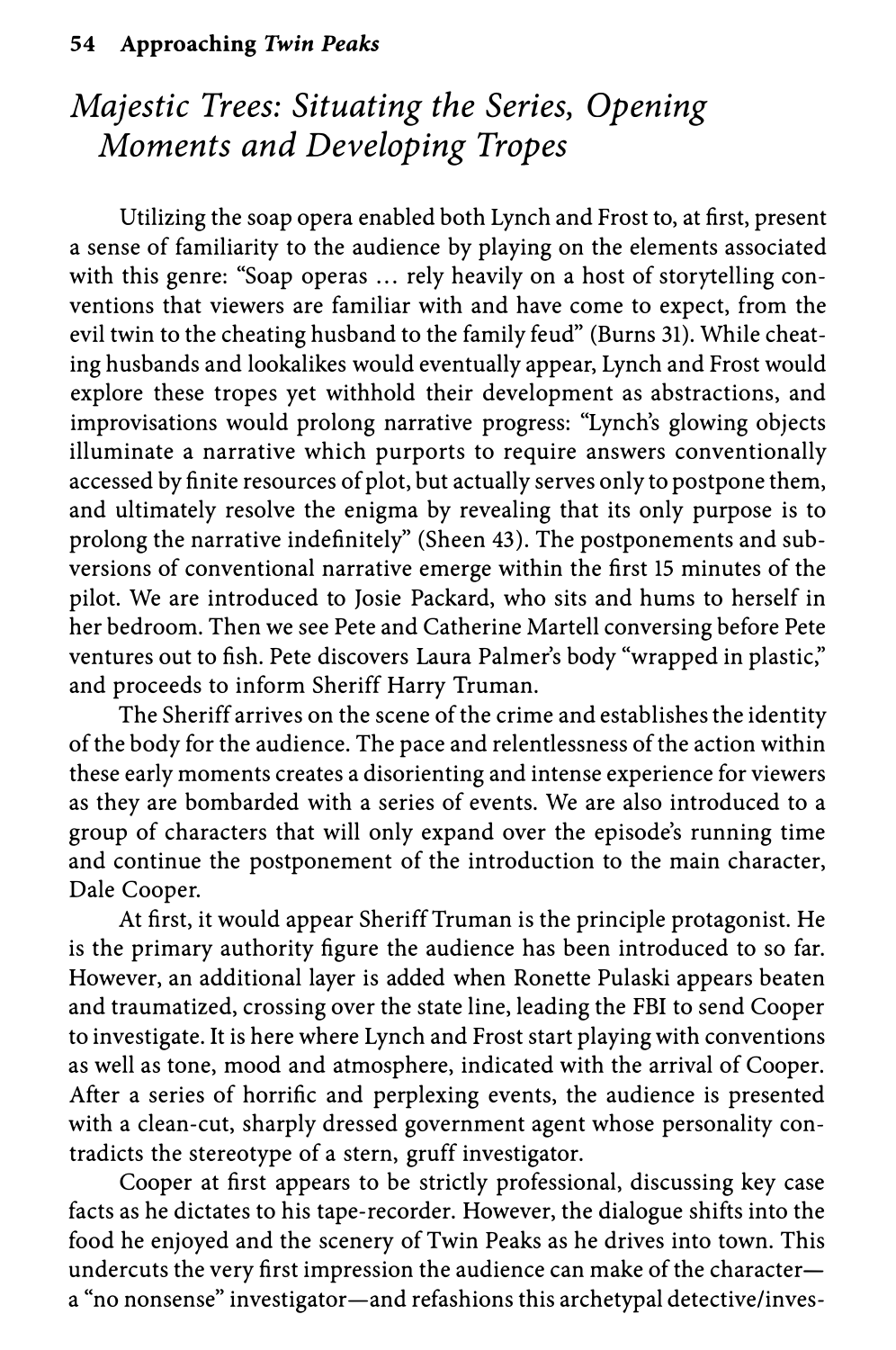# *Majestic Trees: Situating the Series, Opening Moments and Developing Tropes*

Utilizing the soap opera enabled both Lynch and Frost to, at first, present a sense of familiarity to the audience by playing on the elements associated with this genre: "Soap operas ... rely heavily on a host of storytelling conventions that viewers are familiar with and have come to expect, from the evil twin to the cheating husband to the family feud" (Burns 31). While cheating husbands and lookalikes would eventually appear, Lynch and Frost would explore these tropes yet withhold their development as abstractions, and improvisations would prolong narrative progress: "Lynch's glowing objects illuminate a narrative which purports to require answers conventionally accessed by finite resources of plot, but actually serves only to postpone them, and ultimately resolve the enigma by revealing that its only purpose is to prolong the narrative indefinitely" (Sheen 43). The postponements and subversions of conventional narrative emerge within the first 15 minutes of the pilot. We are introduced to Josie Packard, who sits and hums to herself in her bedroom. Then we see Pete and Catherine Martell conversing before Pete ventures out to fish. Pete discovers Laura Palmer's body "wrapped in plastic," and proceeds to inform Sheriff Harry Truman.

The Sheriff arrives on the scene of the crime and establishes the identity of the body for the audience. The pace and relentlessness of the action within these early moments creates a disorienting and intense experience for viewers as they are bombarded with a series of events. We are also introduced to a group of characters that will only expand over the episode's running time and continue the postponement of the introduction to the main character, Dale Cooper.

At first, it would appear Sheriff Truman is the principle protagonist. He is the primary authority figure the audience has been introduced to so far. However, an additional layer is added when Ronette Pulaski appears beaten and traumatized, crossing over the state line, leading the FBI to send Cooper to investigate. It is here where Lynch and Frost start playing with conventions as well as tone, mood and atmosphere, indicated with the arrival of Cooper. After a series of horrific and perplexing events, the audience is presented with a clean-cut, sharply dressed government agent whose personality contradicts the stereotype of a stern, gruff investigator.

Cooper at first appears to be strictly professional, discussing key case facts as he dictates to his tape-recorder. However, the dialogue shifts into the food he enjoyed and the scenery of Twin Peaks as he drives into town. This undercuts the very first impression the audience can make of the charactera "no nonsense" investigator-and refashions this archetypal detective/inves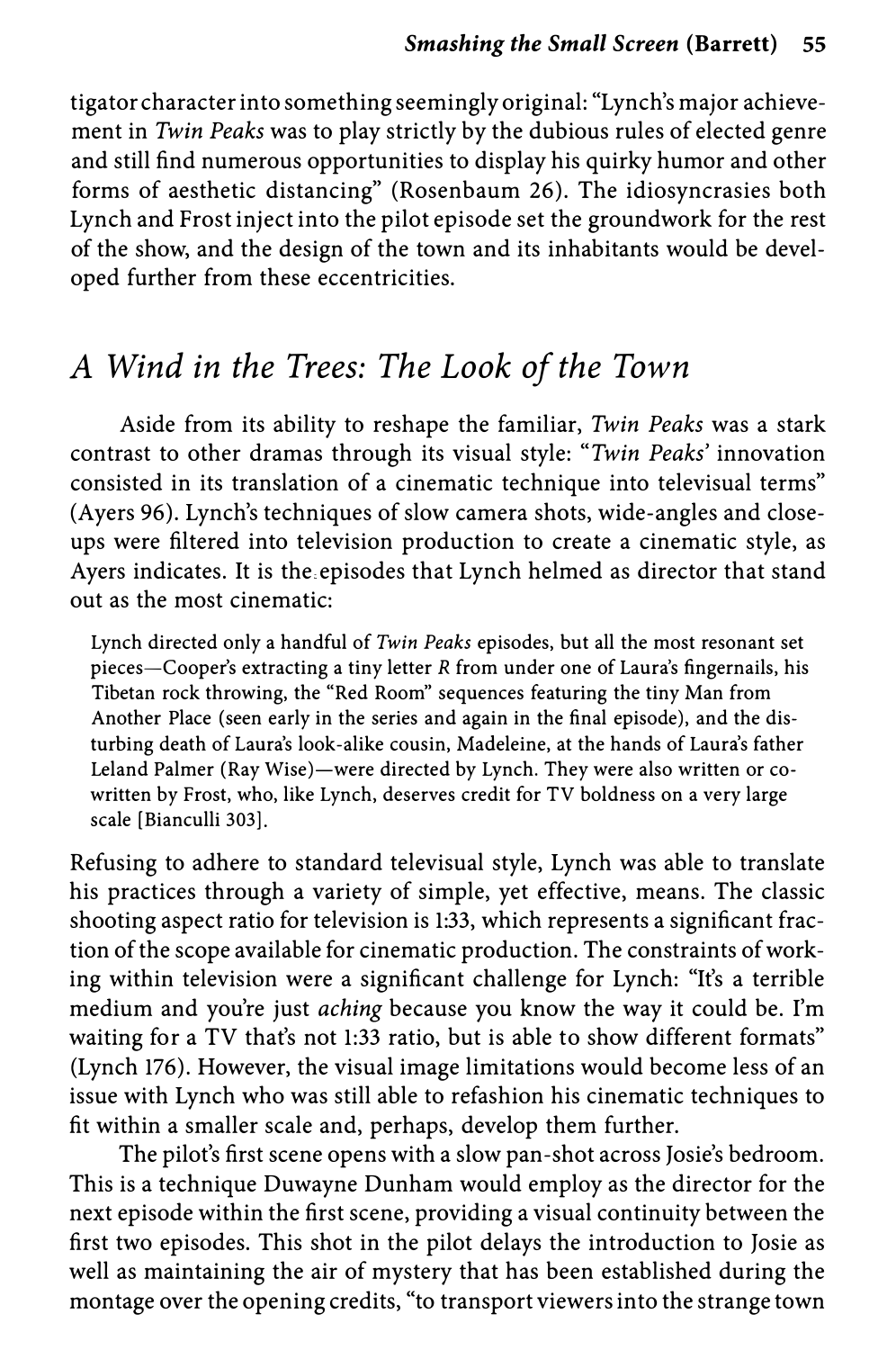tigator character into something seemingly original: "Lynch's major achievement in *Twin Peaks* was to play strictly by the dubious rules of elected genre and still find numerous opportunities to display his quirky humor and other forms of aesthetic distancing" (Rosenbaum 26). The idiosyncrasies both Lynch and Frost inject into the pilot episode set the groundwork for the rest of the show, and the design of the town and its inhabitants would be developed further from these eccentricities.

### *A Wind in the Trees: The Look of the Town*

Aside from its ability to reshape the familiar, *Twin Peaks* was a stark contrast to other dramas through its visual style: *"Twin Peaks'* innovation consisted in its translation of a cinematic technique into televisual terms" (Ayers 96). Lynch's techniques of slow camera shots, wide-angles and closeups were filtered into television production to create a cinematic style, as Ayers indicates. It is the episodes that Lynch helmed as director that stand out as the most cinematic:

Lynch directed only a handful of *Twin Peaks* episodes, but all the most resonant set pieces-Cooper's extracting a tiny letter *R* from under one of Laura's fingernails, his Tibetan rock throwing, the "Red Room" sequences featuring the tiny Man from Another Place (seen early in the series and again in the final episode), and the disturbing death of Laura's look-alike cousin, Madeleine, at the hands of Laura's father Leland Palmer (Ray Wise)-were directed by Lynch. They were also written or cowritten by Frost, who, like Lynch, deserves credit for TV boldness on a very large scale [Bianculli 303].

Refusing to adhere to standard televisual style, Lynch was able to translate his practices through a variety of simple, yet effective, means. The classic shooting aspect ratio for television is 1:33, which represents a significant fraction of the scope available for cinematic production. The constraints of working within television were a significant challenge for Lynch: "It's a terrible medium and you're just *aching* because you know the way it could be. I'm waiting for a TV that's not 1:33 ratio, but is able to show different formats" (Lynch 176). However, the visual image limitations would become less of an issue with Lynch who was still able to refashion his cinematic techniques to fit within a smaller scale and, perhaps, develop them further.

The pilot's first scene opens with a slow pan-shot across Josie's bedroom. This is a technique Duwayne Dunham would employ as the director for the next episode within the first scene, providing a visual continuity between the first two episodes. This shot in the pilot delays the introduction to Josie as well as maintaining the air of mystery that has been established during the montage over the opening credits, "to transport viewers into the strange town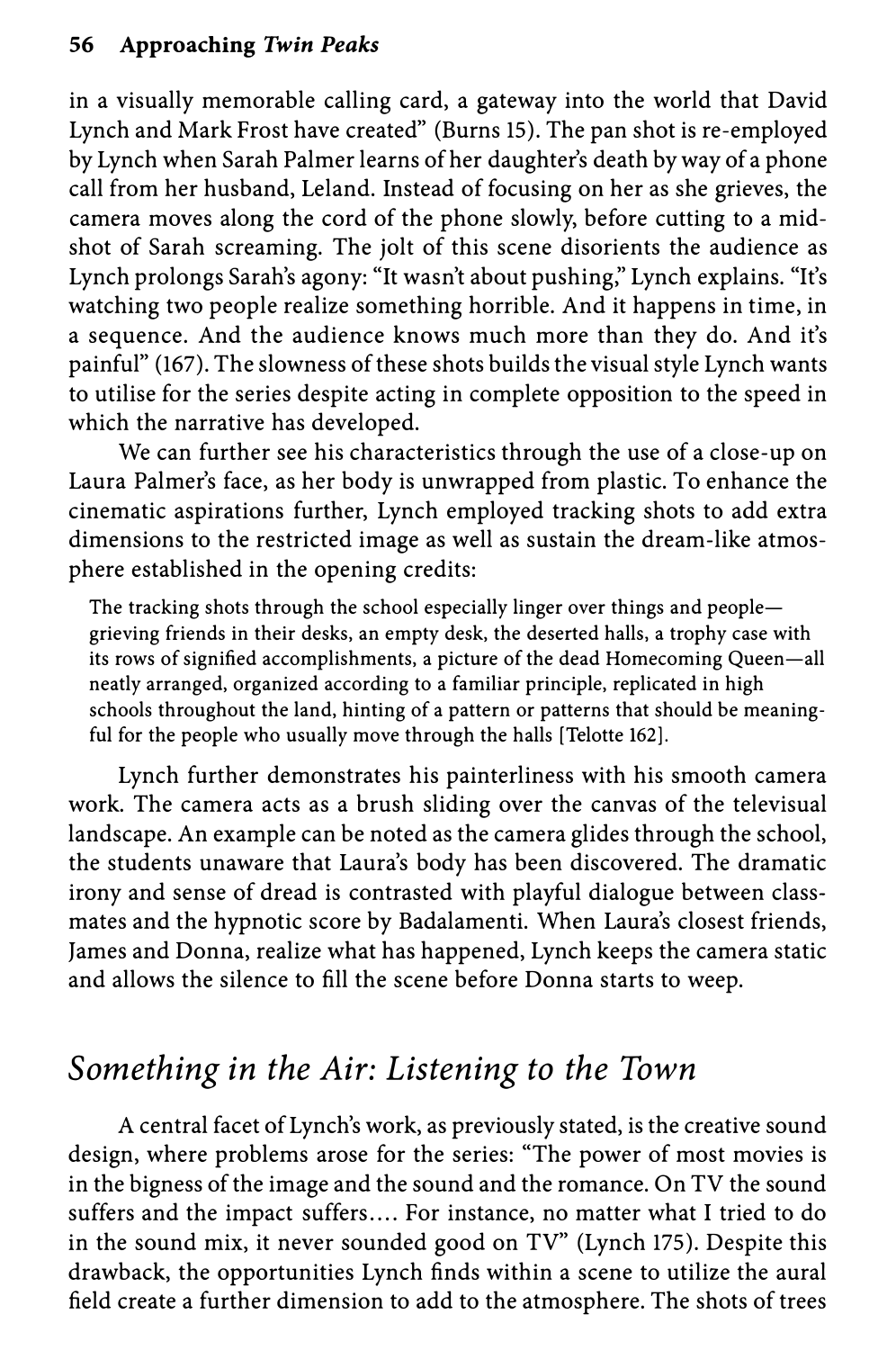in a visually memorable calling card, a gateway into the world that David Lynch and Mark Frost have created" (Burns 15). The pan shot is re-employed by Lynch when Sarah Palmer learns of her daughter's death by way of a phone call from her husband, Leland. Instead of focusing on her as she grieves, the camera moves along the cord of the phone slowly, before cutting to a midshot of Sarah screaming. The jolt of this scene disorients the audience as Lynch prolongs Sarah's agony: "It wasn't about pushing;' Lynch explains. "It's watching two people realize something horrible. And it happens in time, in a sequence. And the audience knows much more than they do. And it's painful" (167). The slowness of these shots builds the visual style Lynch wants to utilise for the series despite acting in complete opposition to the speed in which the narrative has developed.

We can further see his characteristics through the use of a close-up on Laura Palmer's face, as her body is unwrapped from plastic. To enhance the cinematic aspirations further, Lynch employed tracking shots to add extra dimensions to the restricted image as well as sustain the dream-like atmosphere established in the opening credits:

The tracking shots through the school especially linger over things and peoplegrieving friends in their desks, an empty desk, the deserted halls, a trophy case with its rows of signified accomplishments, a picture of the dead Homecoming Queen-all neatly arranged, organized according to a familiar principle, replicated in high schools throughout the land, hinting of a pattern or patterns that should be meaningful for the people who usually move through the halls [Telotte 162].

Lynch further demonstrates his painterliness with his smooth camera work. The camera acts as a brush sliding over the canvas of the televisual landscape. An example can be noted as the camera glides through the school, the students unaware that Laura's body has been discovered. The dramatic irony and sense of dread is contrasted with playful dialogue between classmates and the hypnotic score by Badalamenti. When Laura's closest friends, James and Donna, realize what has happened, Lynch keeps the camera static and allows the silence to fill the scene before Donna starts to weep.

### *Something in the Air: Listening to the Town*

A central facet of Lynch's work, as previously stated, is the creative sound design, where problems arose for the series: "The power of most movies is in the bigness of the image and the sound and the romance. On TV the sound suffers and the impact suffers.... For instance, no matter what I tried to do in the sound mix, it never sounded good on TV" (Lynch 175). Despite this drawback, the opportunities Lynch finds within a scene to utilize the aural field create a further dimension to add to the atmosphere. The shots of trees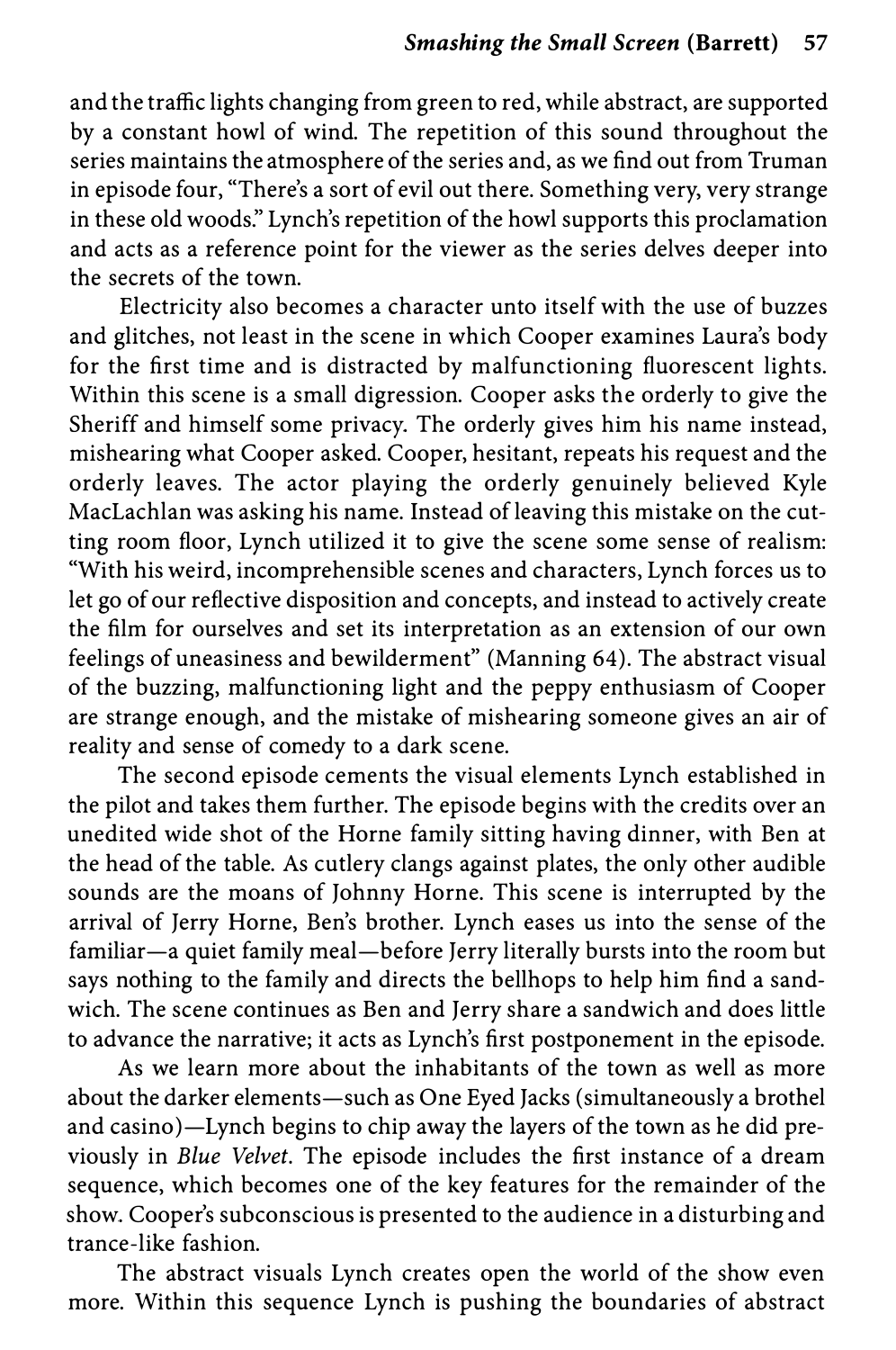and the traffic lights changing from green to red, while abstract, are supported by a constant howl of wind. The repetition of this sound throughout the series maintains the atmosphere of the series and, as we find out from Truman in episode four, "There's a sort of evil out there. Something very, very strange in these old *woods:'* Lynch's repetition of the howl supports this proclamation and acts as a reference point for the viewer as the series delves deeper into the secrets of the town.

Electricity also becomes a character unto itself with the use of buzzes and glitches, not least in the scene in which Cooper examines Laura's body for the first time and is distracted by malfunctioning fluorescent lights. Within this scene is a small digression. Cooper asks the orderly to give the Sheriff and himself some privacy. The orderly gives him his name instead, mishearing what Cooper asked. Cooper, hesitant, repeats his request and the orderly leaves. The actor playing the orderly genuinely believed Kyle Maclachlan was asking his name. Instead of leaving this mistake on the cutting room floor, Lynch utilized it to give the scene some sense of realism: "With his weird, incomprehensible scenes and characters, Lynch forces us to let go of our reflective disposition and concepts, and instead to actively create the film for ourselves and set its interpretation as an extension of our own feelings of uneasiness and bewilderment" (Manning 64). The abstract visual of the buzzing, malfunctioning light and the peppy enthusiasm of Cooper are strange enough, and the mistake of mishearing someone gives an air of reality and sense of comedy to a dark scene.

The second episode cements the visual elements Lynch established in the pilot and takes them further. The episode begins with the credits over an unedited wide shot of the Horne family sitting having dinner, with Ben at the head of the table. As cutlery clangs against plates, the only other audible sounds are the moans of Johnny Horne. This scene is interrupted by the arrival of Jerry Horne, Ben's brother. Lynch eases us into the sense of the familiar-a quiet family meal-before Jerry literally bursts into the room but says nothing to the family and directs the bellhops to help him find a sandwich. The scene continues as Ben and Jerry share a sandwich and does little to advance the narrative; it acts as Lynch's first postponement in the episode.

As we learn more about the inhabitants of the town as well as more about the darker elements-such as One Eyed Jacks (simultaneously a brothel and casino)-Lynch begins to chip away the layers of the town as he did previously in *Blue Velvet.* The episode includes the first instance of a dream sequence, which becomes one of the key features for the remainder of the show. Cooper's subconscious is presented to the audience in a disturbing and trance-like fashion.

The abstract visuals Lynch creates open the world of the show even more. Within this sequence Lynch is pushing the boundaries of abstract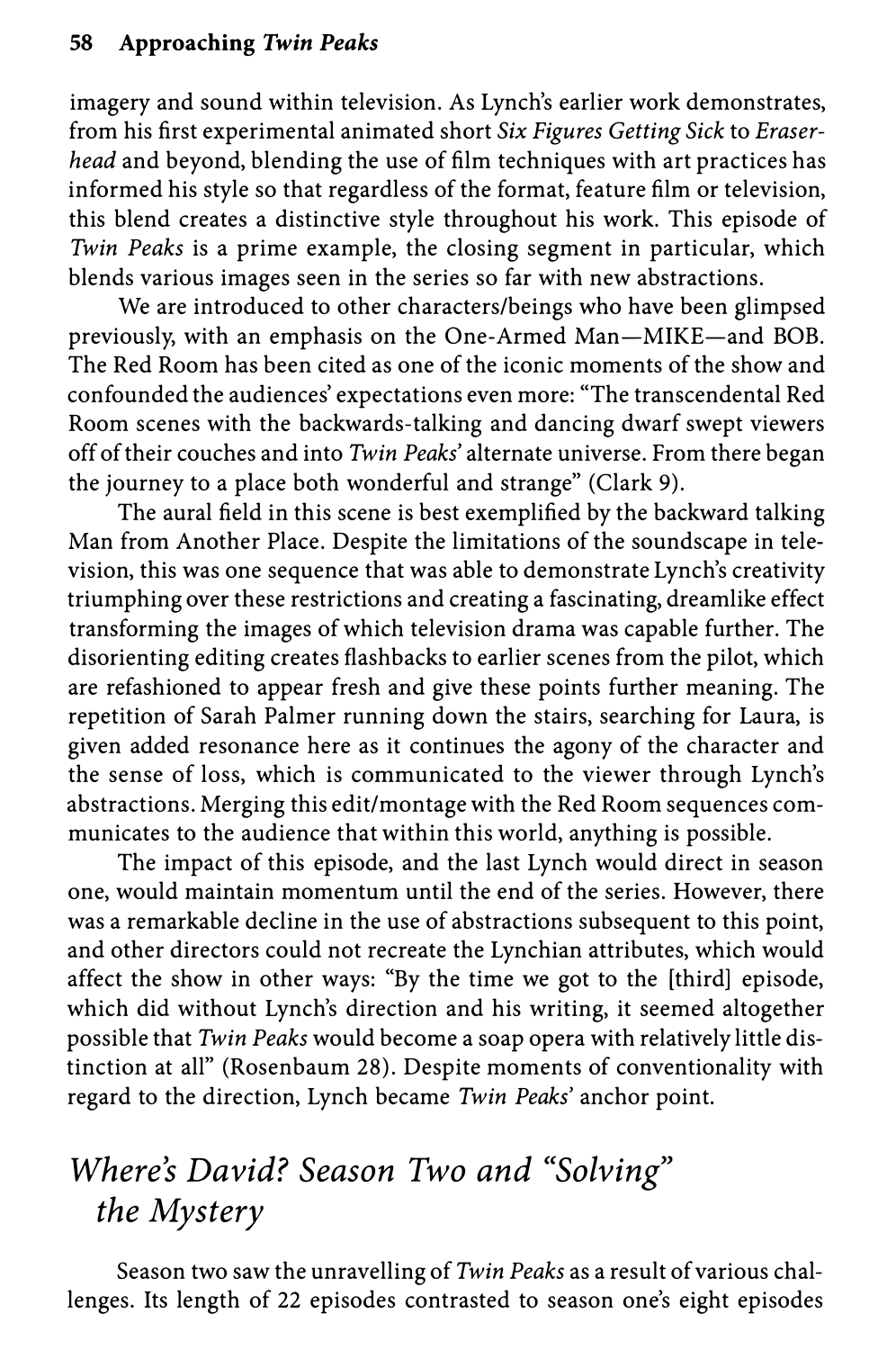imagery and sound within television. As Lynch's earlier work demonstrates, from his first experimental animated short *Six Figures Getting Sick* to *Eraserhead* and beyond, blending the use of film techniques with art practices has informed his style so that regardless of the format, feature film or television, this blend creates a distinctive style throughout his work. This episode of *Twin Peaks* is a prime example, the closing segment in particular, which blends various images seen in the series so far with new abstractions.

We are introduced to other characters/beings who have been glimpsed previously, with an emphasis on the One-Armed Man-MIKE-and BOB. The Red Room has been cited as one of the iconic moments of the show and confounded the audiences' expectations even more: "The transcendental Red Room scenes with the backwards-talking and dancing dwarf swept viewers off of their couches and into *Twin Peaks'* alternate universe. From there began the journey to a place both wonderful and strange" (Clark 9).

The aural field in this scene is best exemplified by the backward talking Man from Another Place. Despite the limitations of the soundscape in television, this was one sequence that was able to demonstrate Lynch's creativity triumphing over these restrictions and creating a fascinating, dreamlike effect transforming the images of which television drama was capable further. The disorienting editing creates flashbacks to earlier scenes from the pilot, which are refashioned to appear fresh and give these points further meaning. The repetition of Sarah Palmer running down the stairs, searching for Laura, is given added resonance here as it continues the agony of the character and the sense of loss, which is communicated to the viewer through Lynch's abstractions. Merging this edit/montage with the Red Room sequences communicates to the audience that within this world, anything is possible.

The impact of this episode, and the last Lynch would direct in season one, would maintain momentum until the end of the series. However, there was a remarkable decline in the use of abstractions subsequent to this point, and other directors could not recreate the Lynchian attributes, which would affect the show in other ways: "By the time we got to the [third] episode, which did without Lynch's direction and his writing, it seemed altogether possible that *Twin Peaks* would become a soap opera with relatively little distinction at all" (Rosenbaum 28). Despite moments of conventionality with regard to the direction, Lynch became *Twin Peaks'* anchor point.

# *Wheres David? Season Two and "Solving" the Mystery*

Season two saw the unravelling of *Twin Peaks* as a result of various challenges. Its length of 22 episodes contrasted to season one's eight episodes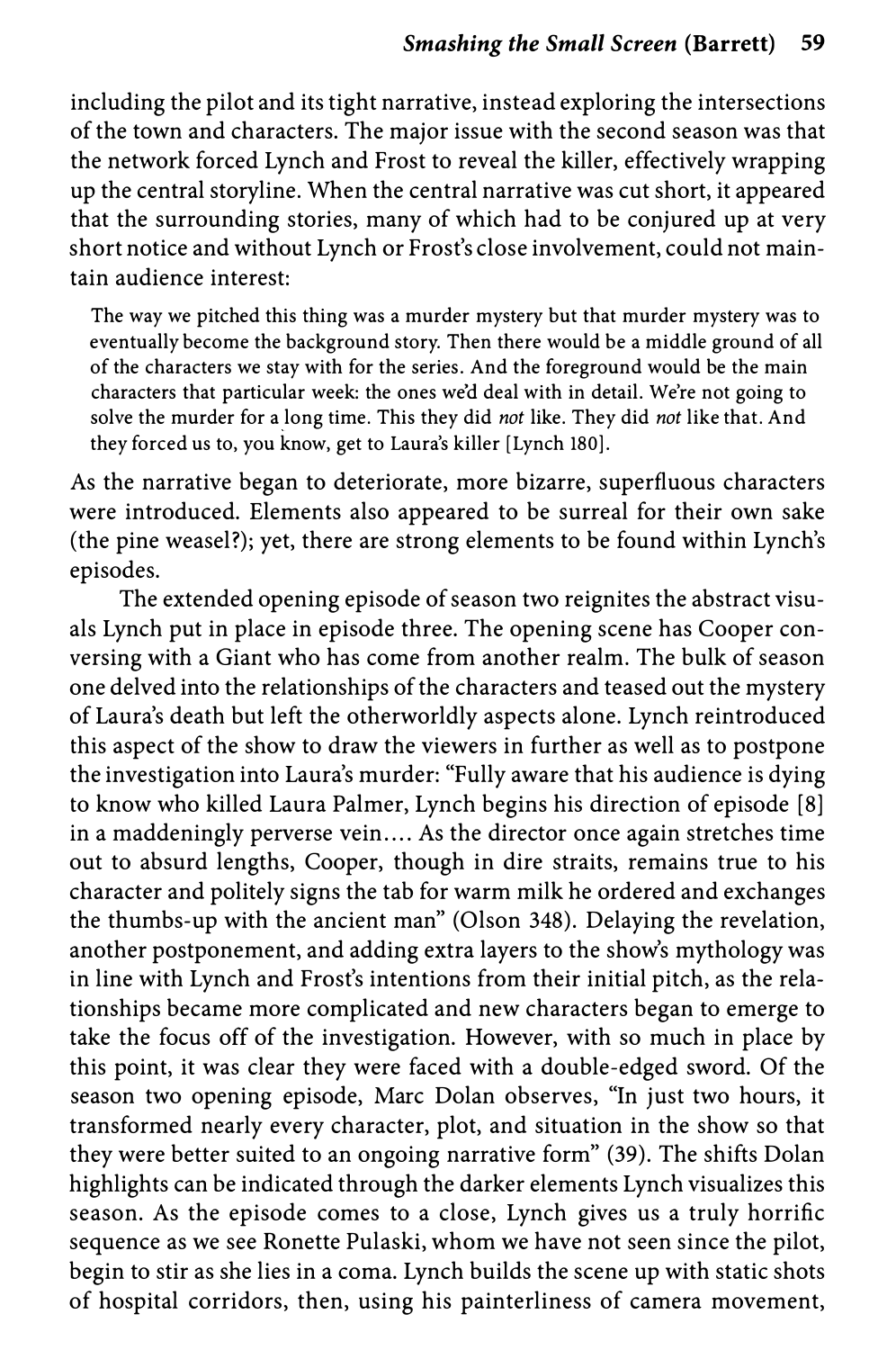including the pilot and its tight narrative, instead exploring the intersections of the town and characters. The major issue with the second season was that the network forced Lynch and Frost to reveal the killer, effectively wrapping up the central storyline. When the central narrative was cut short, it appeared that the surrounding stories, many of which had to be conjured up at very short notice and without Lynch or Frost's close involvement, could not maintain audience interest:

The way we pitched this thing was a murder mystery but that murder mystery was to eventually become the background story. Then there would be a middle ground of all of the characters we stay with for the series. And the foreground would be the main characters that particular week: the ones we'd deal with in detail. We're not going to solve the murder for a long time. This they did *not* like. They did *not* like that. And they forced us to, you know, get to Laura's killer [Lynch 180].

As the narrative began to deteriorate, more bizarre, superfluous characters were introduced. Elements also appeared to be surreal for their own sake (the pine weasel?); yet, there are strong elements to be found within Lynch's episodes.

The extended opening episode of season two reignites the abstract visuals Lynch put in place in episode three. The opening scene has Cooper conversing with a Giant who has come from another realm. The bulk of season one delved into the relationships of the characters and teased out the mystery of Laura's death but left the otherworldly aspects alone. Lynch reintroduced this aspect of the show to draw the viewers in further as well as to postpone the investigation into Laura's murder: "Fully aware that his audience is dying to know who killed Laura Palmer, Lynch begins his direction of episode [8] in a maddeningly perverse vein.... As the director once again stretches time out to absurd lengths, Cooper, though in dire straits, remains true to his character and politely signs the tab for warm milk he ordered and exchanges the thumbs-up with the ancient man" (Olson 348). Delaying the revelation, another postponement, and adding extra layers to the show's mythology was in line with Lynch and Frost's intentions from their initial pitch, as the relationships became more complicated and new characters began to emerge to take the focus off of the investigation. However, with so much in place by this point, it was clear they were faced with a double-edged sword. Of the season two opening episode, Marc Dolan observes, "In just two hours, it transformed nearly every character, plot, and situation in the show so that they were better suited to an ongoing narrative form" (39). The shifts Dolan highlights can be indicated through the darker elements Lynch visualizes this season. As the episode comes to a close, Lynch gives us a truly horrific sequence as we see Ronette Pulaski, whom we have not seen since the pilot, begin to stir as she lies in a coma. Lynch builds the scene up with static shots of hospital corridors, then, using his painterliness of camera movement,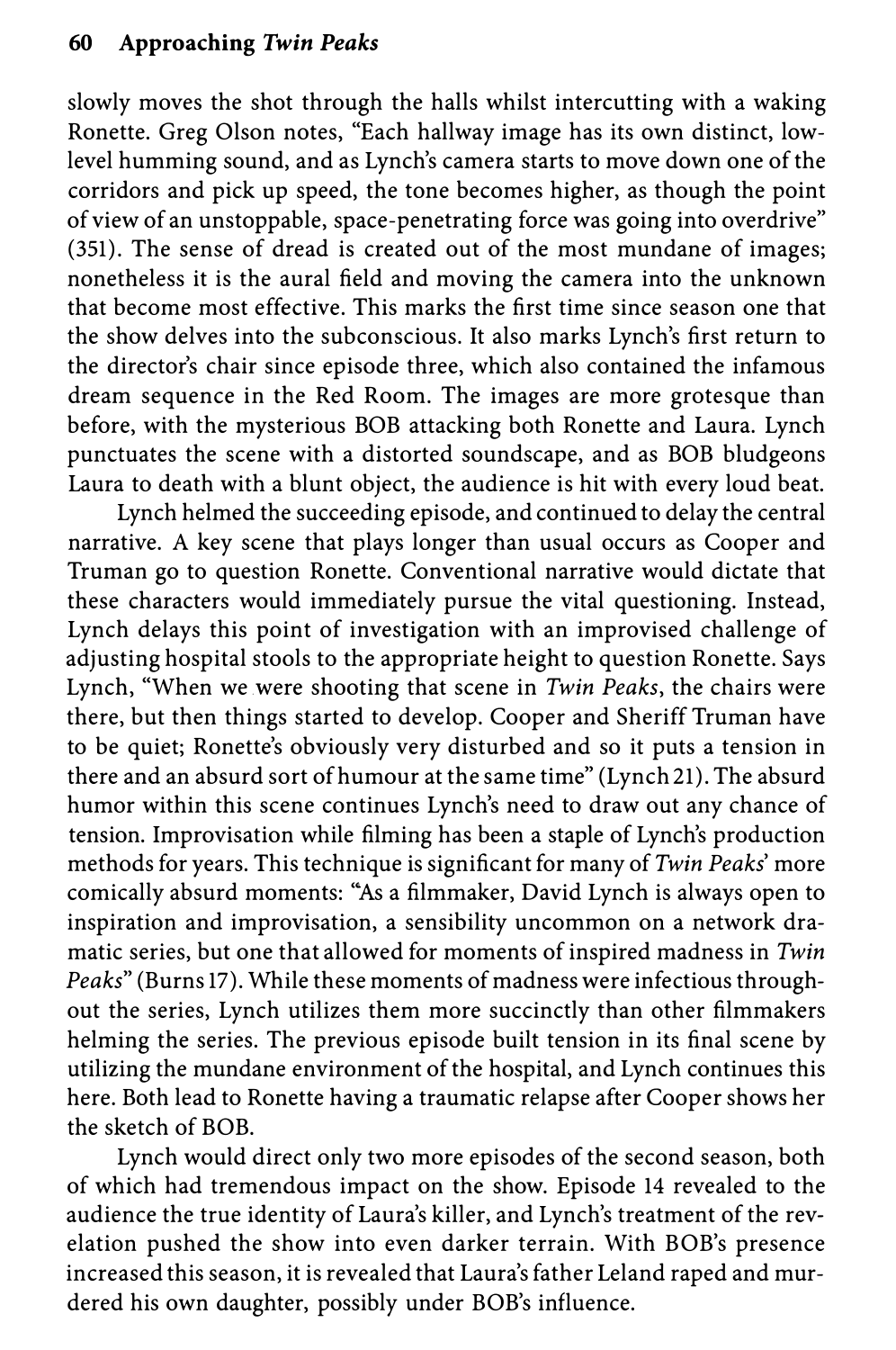slowly moves the shot through the halls whilst intercutting with a waking Ronette. Greg Olson notes, "Each hallway image has its own distinct, lowlevel humming sound, and as Lynch's camera starts to move down one of the corridors and pick up speed, the tone becomes higher, as though the point of view of an unstoppable, space-penetrating force was going into overdrive" (351). The sense of dread is created out of the most mundane of images; nonetheless it is the aural field and moving the camera into the unknown that become most effective. This marks the first time since season one that the show delves into the subconscious. It also marks Lynch's first return to the director's chair since episode three, which also contained the infamous dream sequence in the Red Room. The images are more grotesque than before, with the mysterious BOB attacking both Ronette and Laura. Lynch punctuates the scene with a distorted soundscape, and as BOB bludgeons Laura to death with a blunt object, the audience is hit with every loud beat.

Lynch helmed the succeeding episode, and continued to delay the central narrative. A key scene that plays longer than usual occurs as Cooper and Truman go to question Ronette. Conventional narrative would dictate that these characters would immediately pursue the vital questioning. Instead, Lynch delays this point of investigation with an improvised challenge of adjusting hospital stools to the appropriate height to question Ronette. Says Lynch, "When we were shooting that scene in *Twin Peaks,* the chairs were there, but then things started to develop. Cooper and Sheriff Truman have to be quiet; Ronette's obviously very disturbed and so it puts a tension in there and an absurd sort of humour at the same time" (Lynch 21). The absurd humor within this scene continues Lynch's need to draw out any chance of tension. Improvisation while filming has been a staple of Lynch's production methods for years. This technique is significant for many of *Twin Peaks'* more comically absurd moments: "As a filmmaker, David Lynch is always open to inspiration and improvisation, a sensibility uncommon on a network dramatic series, but one that allowed for moments of inspired madness in *Twin Peaks"* (Burns 17). While these moments of madness were infectious throughout the series, Lynch utilizes them more succinctly than other filmmakers helming the series. The previous episode built tension in its final scene by utilizing the mundane environment of the hospital, and Lynch continues this here. Both lead to Ronette having a traumatic relapse after Cooper shows her the sketch of BOB.

Lynch would direct only two more episodes of the second season, both of which had tremendous impact on the show. Episode 14 revealed to the audience the true identity of Laura's killer, and Lynch's treatment of the revelation pushed the show into even darker terrain. With BOB's presence increased this season, it is revealed that Laura's father Leland raped and murdered his own daughter, possibly under BOB's influence.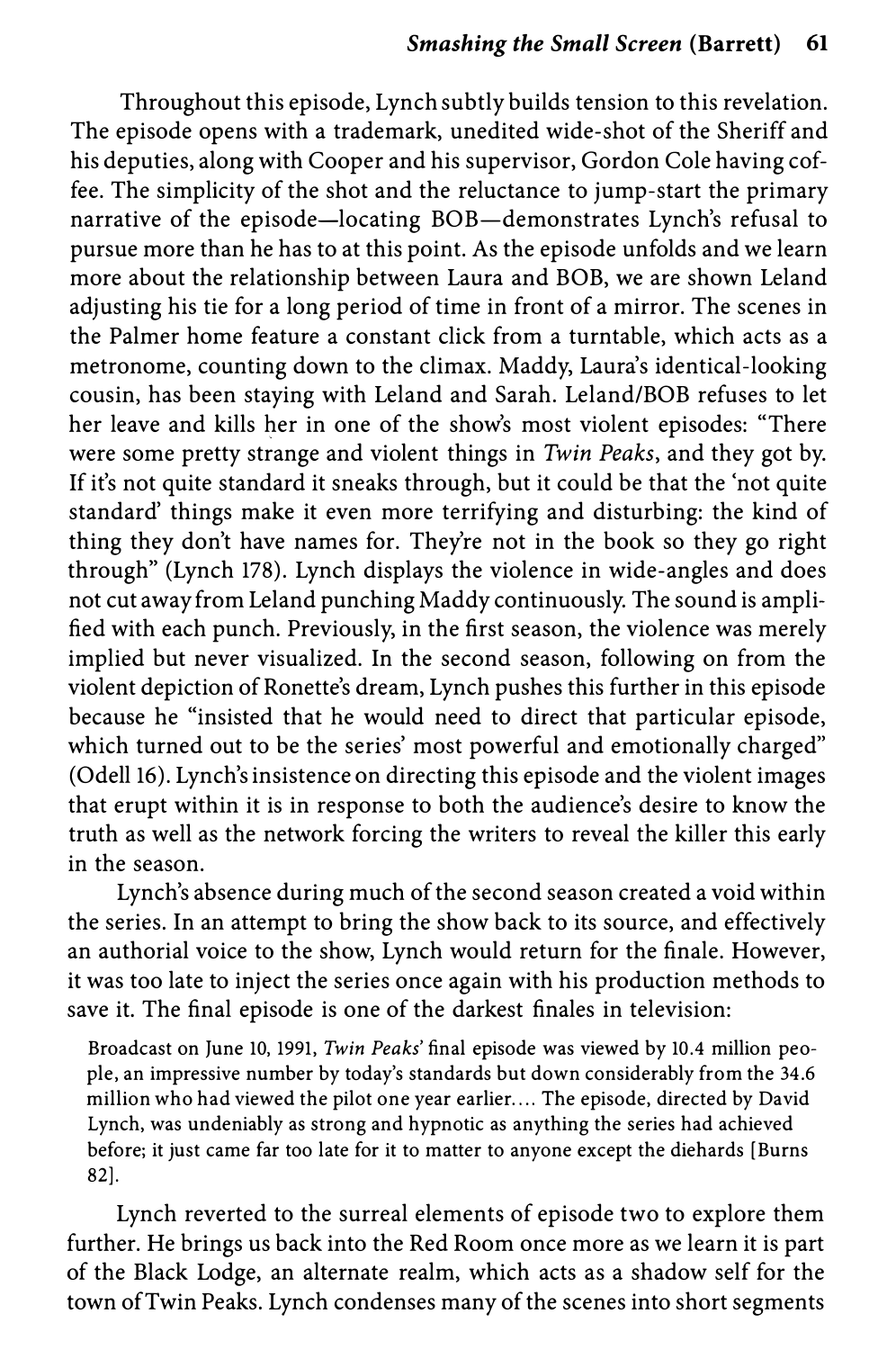Throughout this episode, Lynch subtly builds tension to this revelation. The episode opens with a trademark, unedited wide-shot of the Sheriff and his deputies, along with Cooper and his supervisor, Gordon Cole having coffee. The simplicity of the shot and the reluctance to jump-start the primary narrative of the episode-locating BOB-demonstrates Lynch's refusal to pursue more than he has to at this point. As the episode unfolds and we learn more about the relationship between Laura and BOB, we are shown Leland adjusting his tie for a long period of time in front of a mirror. The scenes in the Palmer home feature a constant click from a turntable, which acts as a metronome, counting down to the climax. Maddy, Laura's identical-looking cousin, has been staying with Leland and Sarah. Leland/BOB refuses to let her leave and kills her in one of the show's most violent episodes: "There were some pretty strange and violent things in *Twin Peaks,* and they got by. If it's not quite standard it sneaks through, but it could be that the 'not quite standard' things make it even more terrifying and disturbing: the kind of thing they don't have names for. They're not in the book so they go right through" (Lynch 178). Lynch displays the violence in wide-angles and does not cut away from Leland punching Maddy continuously. The sound is amplified with each punch. Previously, in the first season, the violence was merely implied but never visualized. In the second season, following on from the violent depiction of Ronette's dream, Lynch pushes this further in this episode because he "insisted that he would need to direct that particular episode, which turned out to be the series' most powerful and emotionally charged" (Odell 16). Lynch's insistence on directing this episode and the violent images that erupt within it is in response to both the audience's desire to know the truth as well as the network forcing the writers to reveal the killer this early in the season.

Lynch's absence during much of the second season created a void within the series. In an attempt to bring the show back to its source, and effectively an authorial voice to the show, Lynch would return for the finale. However, it was too late to inject the series once again with his production methods to save it. The final episode is one of the darkest finales in television:

Broadcast on June 10, 1991, *Twin Peaks'* final episode was viewed by 10.4 million people, an impressive number by today's standards but down considerably from the 34.6 million who had viewed the pilot one year earlier . . .. The episode, directed by David Lynch, was undeniably as strong and hypnotic as anything the series had achieved before; it just came far too late for it to matter to anyone except the diehards [Burns 82].

Lynch reverted to the surreal elements of episode two to explore them further. He brings us back into the Red Room once more as we learn it is part of the Black Lodge, an alternate realm, which acts as a shadow self for the town of Twin Peaks. Lynch condenses many of the scenes into short segments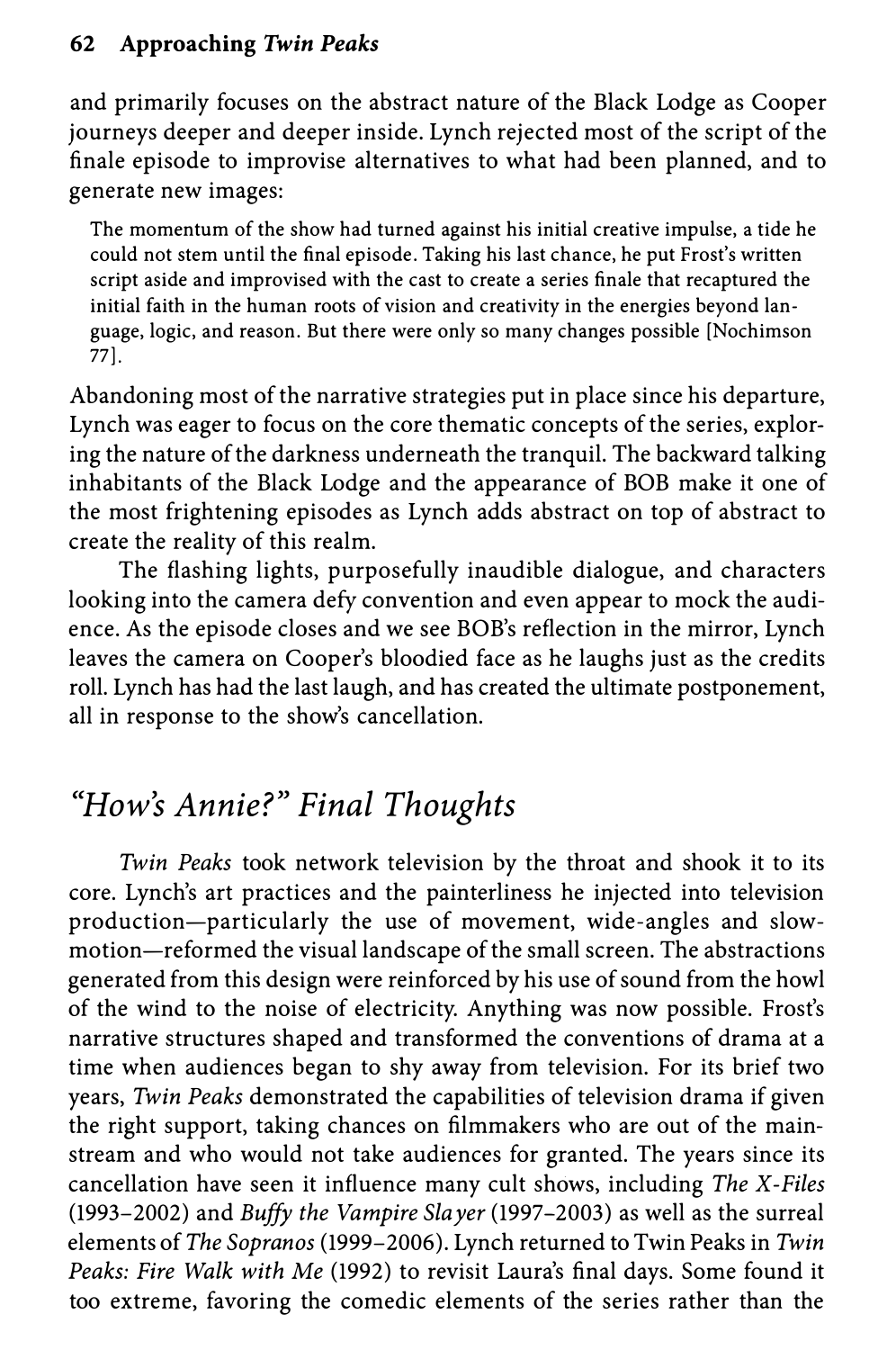#### **62 Approaching** *Twin Peaks*

and primarily focuses on the abstract nature of the Black Lodge as Cooper journeys deeper and deeper inside. Lynch rejected most of the script of the finale episode to improvise alternatives to what had been planned, and to generate new images:

The momentum of the show had turned against his initial creative impulse, a tide he could not stem until the final episode. Taking his last chance, he put Frost's written script aside and improvised with the cast to create a series finale that recaptured the initial faith in the human roots of vision and creativity in the energies beyond language, logic, and reason. But there were only so many changes possible [Nochimson 77].

Abandoning most of the narrative strategies put in place since his departure, Lynch was eager to focus on the core thematic concepts of the series, exploring the nature of the darkness underneath the tranquil. The backward talking inhabitants of the Black Lodge and the appearance of BOB make it one of the most frightening episodes as Lynch adds abstract on top of abstract to create the reality of this realm.

The flashing lights, purposefully inaudible dialogue, and characters looking into the camera defy convention and even appear to mock the audience. As the episode closes and we see BOB's reflection in the mirror, Lynch leaves the camera on Cooper's bloodied face as he laughs just as the credits roll. Lynch has had the last laugh, and has created the ultimate postponement, all in response to the show's cancellation.

#### *"How's Annie?" Final Thoughts*

*Twin Peaks* took network television by the throat and shook it to its core. Lynch's art practices and the painterliness he injected into television production-particularly the use of movement, wide-angles and slowmotion-reformed the visual landscape of the small screen. The abstractions generated from this design were reinforced by his use of sound from the howl of the wind to the noise of electricity. Anything was now possible. Frost's narrative structures shaped and transformed the conventions of drama at a time when audiences began to shy away from television. For its brief two years, *Twin Peaks* demonstrated the capabilities of television drama if given the right support, taking chances on filmmakers who are out of the mainstream and who would not take audiences for granted. The years since its cancellation have seen it influence many cult shows, including *The X-Files*  (1993-2002) and *Buffy the Vampire Slayer* (1997-2003) as well as the surreal elements of *The Sopranos* (1999-2006). Lynch returned to Twin Peaks in *Twin Peaks: Fire Walk with Me* (1992) to revisit Laura's final days. Some found it too extreme, favoring the comedic elements of the series rather than the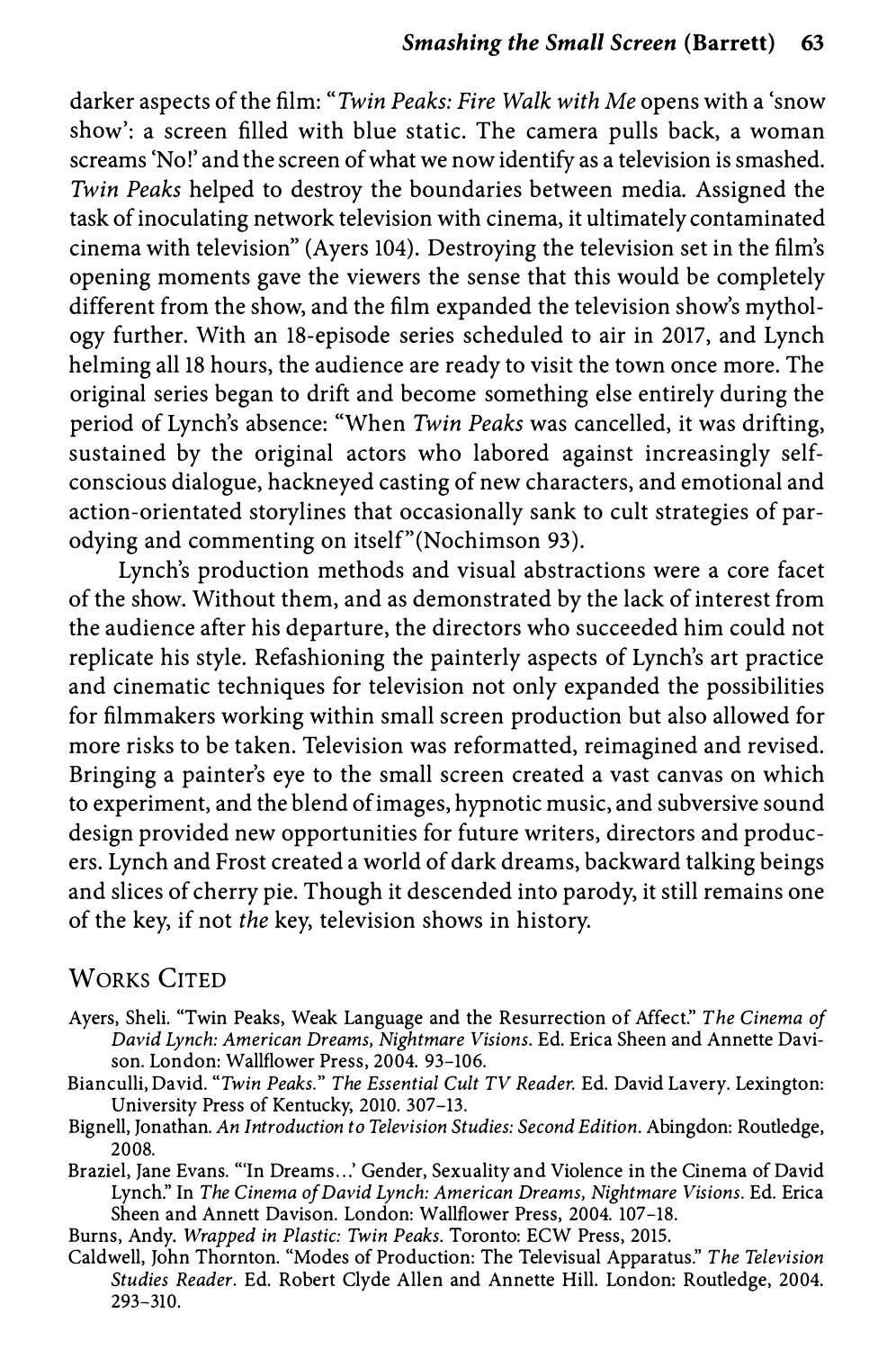darker aspects of the film: *"Twin Peaks: Fire Walk with Me* opens with a 'snow show': a screen filled with blue static. The camera pulls back, a woman screams 'No!' and the screen of what we now identify as a television is smashed. *Twin Peaks* helped to destroy the boundaries between media. Assigned the task of inoculating network television with cinema, it ultimately contaminated cinema with television" (Ayers 104). Destroying the television set in the film's opening moments gave the viewers the sense that this would be completely different from the show, and the film expanded the television show's mythology further. With an 18-episode series scheduled to air in 2017, and Lynch helming all 18 hours, the audience are ready to visit the town once more. The original series began to drift and become something else entirely during the period of Lynch's absence: "When *Twin Peaks* was cancelled, it was drifting, sustained by the original actors who labored against increasingly selfconscious dialogue, hackneyed casting of new characters, and emotional and action-orientated storylines that occasionally sank to cult strategies of parodying and commenting on itself"(Nochimson 93).

Lynch's production methods and visual abstractions were a core facet of the show. Without them, and as demonstrated by the lack of interest from the audience after his departure, the directors who succeeded him could not replicate his style. Refashioning the painterly aspects of Lynch's art practice and cinematic techniques for television not only expanded the possibilities for filmmakers working within small screen production but also allowed for more risks to be taken. Television was reformatted, reimagined and revised. Bringing a painter's eye to the small screen created a vast canvas on which to experiment, and the blend of images, hypnotic music, and subversive sound design provided new opportunities for future writers, directors and producers. Lynch and Frost created a world of dark dreams, backward talking beings and slices of cherry pie. Though it descended into parody, it still remains one of the key, if not *the* key, television shows in history.

#### WORKS CITED

- Ayers, Sheli. "Twin Peaks, Weak Language and the Resurrection of Affect:' *The Cinema of David Lynch: American Dreams, Nightmare Visions.* Ed. Erica Sheen and Annette Davison. London: Wallflower Press, 2004. 93-106.
- Bianculli, David. *"Twin Peaks." The Essential Cult TV Reader.* Ed. David Lavery. Lexington: University Press of Kentucky, 2010. 307-13.
- Bignell, Jonathan. *An Introduction to Television Studies: Second Edition.* Abingdon: Routledge, 2008.
- Braziel, Jane Evans. "'In Dreams .. .' Gender, Sexuality and Violence in the Cinema of David Lynch.'' In *The Cinema of David Lynch: American Dreams, Nightmare Visions.* Ed. Erica Sheen and Annett Davison. London: Wallflower Press, 2004. 107-18.
- Burns, Andy. *Wrapped in Plastic: Twin Peaks.* Toronto: ECW Press, 2015.
- Caldwell, John Thornton. "Modes of Production: The Televisual Apparatus.'' *The Television Studies Reader.* Ed. Robert Clyde Allen and Annette Hill. London: Routledge, 2004. 293-310.